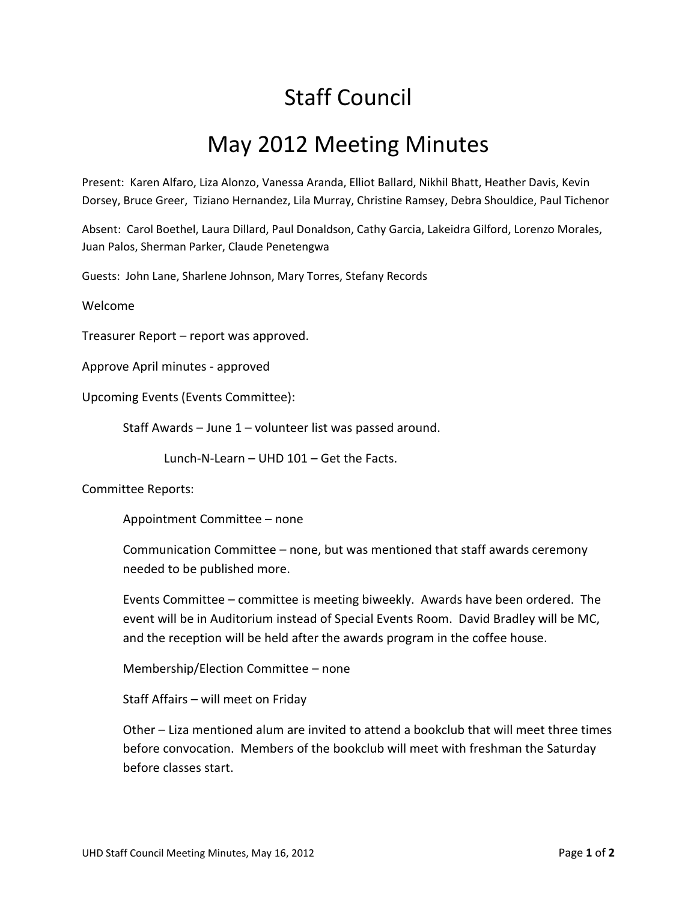## Staff Council

## May 2012 Meeting Minutes

Present: Karen Alfaro, Liza Alonzo, Vanessa Aranda, Elliot Ballard, Nikhil Bhatt, Heather Davis, Kevin Dorsey, Bruce Greer, Tiziano Hernandez, Lila Murray, Christine Ramsey, Debra Shouldice, Paul Tichenor

Absent: Carol Boethel, Laura Dillard, Paul Donaldson, Cathy Garcia, Lakeidra Gilford, Lorenzo Morales, Juan Palos, Sherman Parker, Claude Penetengwa

Guests: John Lane, Sharlene Johnson, Mary Torres, Stefany Records

Welcome

Treasurer Report – report was approved.

Approve April minutes - approved

Upcoming Events (Events Committee):

Staff Awards – June 1 – volunteer list was passed around.

Lunch-N-Learn – UHD 101 – Get the Facts.

Committee Reports:

Appointment Committee – none

Communication Committee – none, but was mentioned that staff awards ceremony needed to be published more.

Events Committee – committee is meeting biweekly. Awards have been ordered. The event will be in Auditorium instead of Special Events Room. David Bradley will be MC, and the reception will be held after the awards program in the coffee house.

Membership/Election Committee – none

Staff Affairs – will meet on Friday

Other – Liza mentioned alum are invited to attend a bookclub that will meet three times before convocation. Members of the bookclub will meet with freshman the Saturday before classes start.